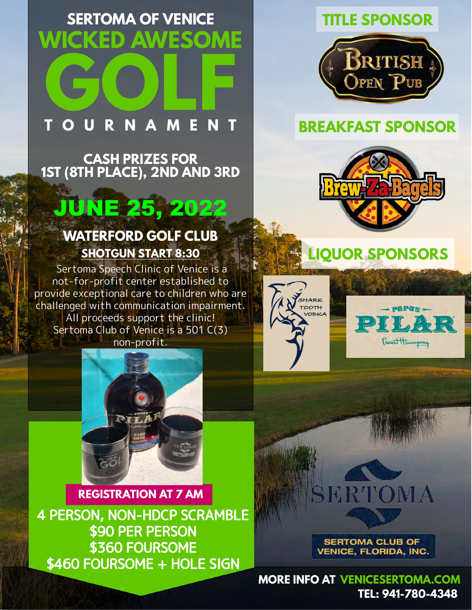### **WICKED AWESOME SERTOMA OF VENICE**

# **GOLF TAME**

**CASH PRIZES FOR 1ST (8TH PLACE), 2ND AND 3RD**

## JUNE 25, 2022

#### **WATERFORD GOLF CLUB SHOTGUN START 8:30**

 Sertoma Speech Clinic of Venice is a not-for-profit center established to provide exceptional care to children who are challenged with communication impairment. All proceeds support the clinic! Sertoma Club of Venice is a 501 C(3) non-profit.



**REGISTRATION AT 7 AM** 4 PERSON, NON-HDCP SCRAMBLE \$90 PER PERSON \$360 FOURSOME \$460 FOURSOME + HOLE SIGN

#### **TITLE SPONSOR**



#### **BREAKFAST SPONSOR**



**LIQUOR SPONSORS**





## RTOMA

**SERTOMA CLUB OF VENICE, FLORIDA, INC.** 

**MORE INFO AT [VENICESERTOMA.COM](https://www.venicesertoma.com/general-5) TEL: 941-780-4348**